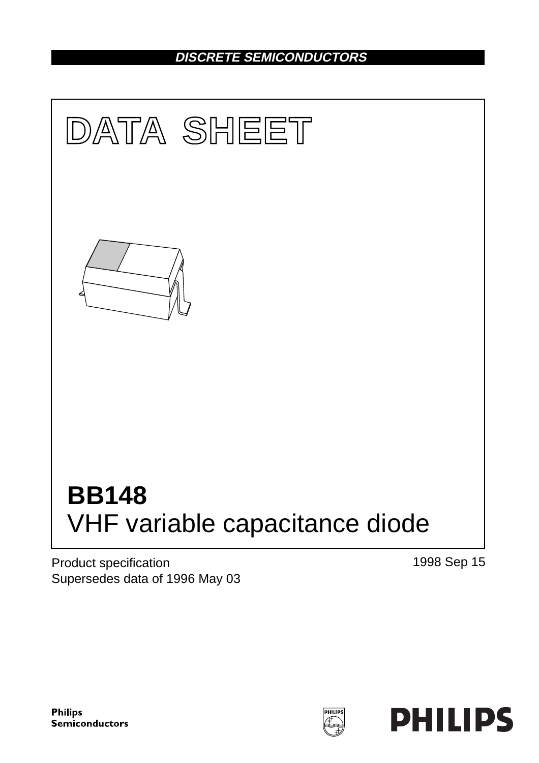## **DISCRETE SEMICONDUCTORS**



Product specification Supersedes data of 1996 May 03 1998 Sep 15

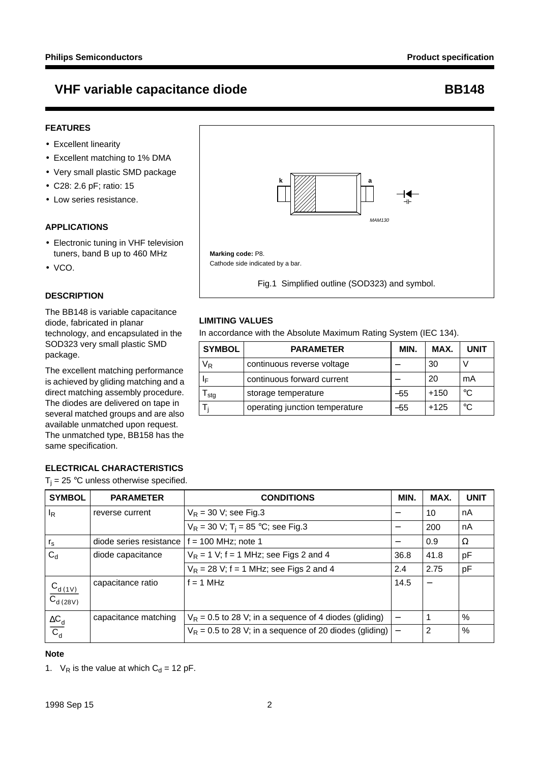#### **FEATURES**

- Excellent linearity
- Excellent matching to 1% DMA
- Very small plastic SMD package
- C28: 2.6 pF; ratio: 15
- Low series resistance.

#### **APPLICATIONS**

- Electronic tuning in VHF television tuners, band B up to 460 MHz
- VCO.

#### **DESCRIPTION**

The BB148 is variable capacitance diode, fabricated in planar technology, and encapsulated in the SOD323 very small plastic SMD package.

The excellent matching performance is achieved by gliding matching and a direct matching assembly procedure. The diodes are delivered on tape in several matched groups and are also available unmatched upon request. The unmatched type, BB158 has the same specification.

### **ELECTRICAL CHARACTERISTICS**

 $T_i = 25$  °C unless otherwise specified.



Fig.1 Simplified outline (SOD323) and symbol.

#### **LIMITING VALUES**

In accordance with the Absolute Maximum Rating System (IEC 134).

| <b>SYMBOL</b> | <b>PARAMETER</b>               | MIN.  | MAX.   | <b>UNIT</b> |
|---------------|--------------------------------|-------|--------|-------------|
| $\rm V_R$     | continuous reverse voltage     |       | 30     |             |
| ΙF            | continuous forward current     |       | 20     | mA          |
| l sta         | storage temperature            | $-55$ | $+150$ | $^{\circ}C$ |
|               | operating junction temperature | $-55$ | $+125$ | $^{\circ}C$ |

| <b>SYMBOL</b>                              | <b>PARAMETER</b>        | <b>CONDITIONS</b>                                         | MIN.                             | MAX. | <b>UNIT</b> |
|--------------------------------------------|-------------------------|-----------------------------------------------------------|----------------------------------|------|-------------|
| $I_R$                                      | reverse current         | $V_R$ = 30 V; see Fig.3                                   |                                  | 10   | nA          |
|                                            |                         | $V_R = 30$ V; T <sub>i</sub> = 85 °C; see Fig.3           |                                  | 200  | nA          |
| $r_{\rm s}$                                | diode series resistance | $f = 100$ MHz; note 1                                     | $\overbrace{\phantom{12322111}}$ | 0.9  | Ω           |
| $C_d$                                      | diode capacitance       | $V_R$ = 1 V; f = 1 MHz; see Figs 2 and 4                  | 36.8                             | 41.8 | pF          |
|                                            |                         | $V_R$ = 28 V; f = 1 MHz; see Figs 2 and 4                 | 2.4                              | 2.75 | pF          |
| $\frac{C_{d(1V)}}{C_{d(28V)}}$             | capacitance ratio       | $f = 1$ MHz                                               | 14.5                             |      |             |
|                                            | capacitance matching    | $V_R$ = 0.5 to 28 V; in a sequence of 4 diodes (gliding)  |                                  |      | $\%$        |
| $\frac{\Delta C_{\text{d}}}{C_{\text{d}}}$ |                         | $V_R$ = 0.5 to 28 V; in a sequence of 20 diodes (gliding) |                                  | 2    | $\%$        |

#### **Note**

1.  $V_R$  is the value at which  $C_d = 12$  pF.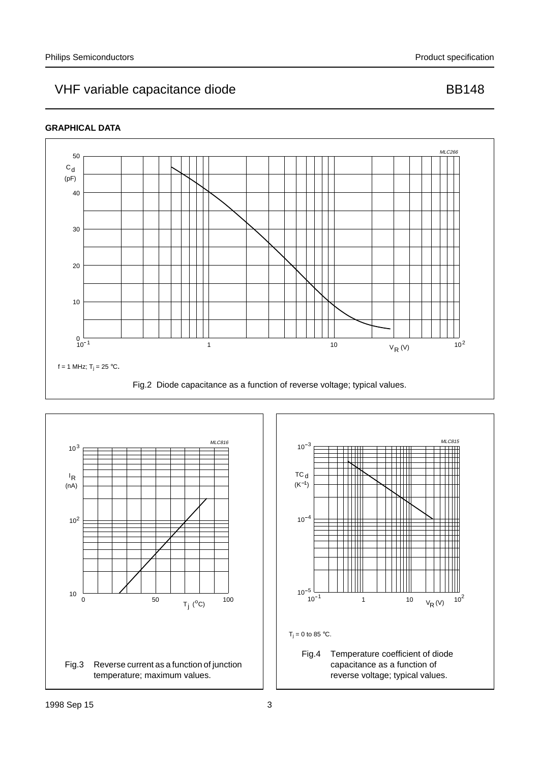### **GRAPHICAL DATA**





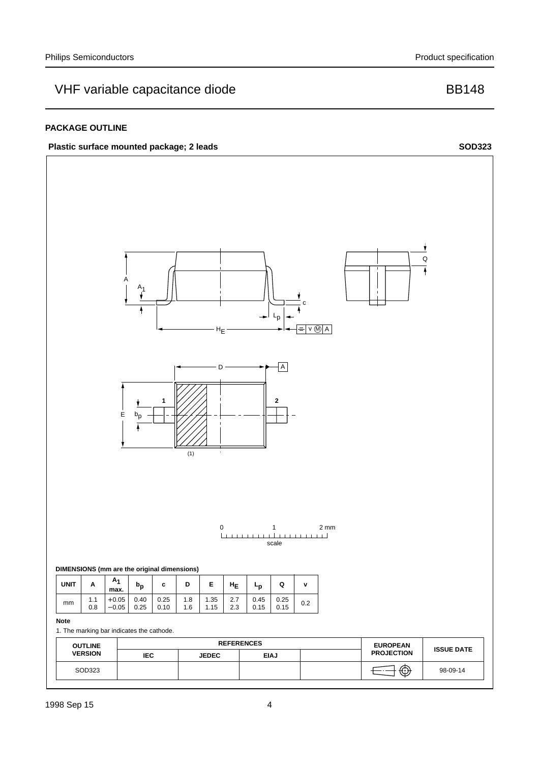#### **PACKAGE OUTLINE**

### **Plastic surface mounted package; 2 leads**



**SOD323**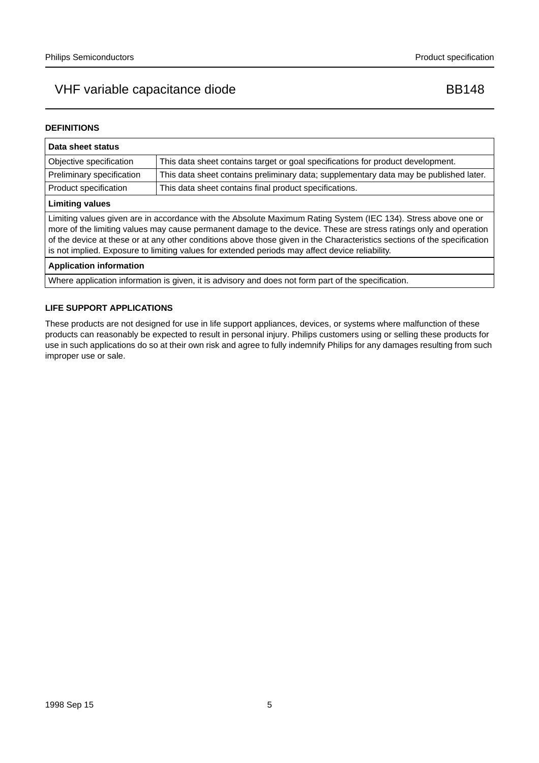#### **DEFINITIONS**

| Data sheet status                                                                                                                                                                                                                                                                                                                                                                                                                                                  |                                                                                       |  |  |  |
|--------------------------------------------------------------------------------------------------------------------------------------------------------------------------------------------------------------------------------------------------------------------------------------------------------------------------------------------------------------------------------------------------------------------------------------------------------------------|---------------------------------------------------------------------------------------|--|--|--|
| Objective specification                                                                                                                                                                                                                                                                                                                                                                                                                                            | This data sheet contains target or goal specifications for product development.       |  |  |  |
| Preliminary specification                                                                                                                                                                                                                                                                                                                                                                                                                                          | This data sheet contains preliminary data; supplementary data may be published later. |  |  |  |
| Product specification                                                                                                                                                                                                                                                                                                                                                                                                                                              | This data sheet contains final product specifications.                                |  |  |  |
| <b>Limiting values</b>                                                                                                                                                                                                                                                                                                                                                                                                                                             |                                                                                       |  |  |  |
| Limiting values given are in accordance with the Absolute Maximum Rating System (IEC 134). Stress above one or<br>more of the limiting values may cause permanent damage to the device. These are stress ratings only and operation<br>of the device at these or at any other conditions above those given in the Characteristics sections of the specification<br>is not implied. Exposure to limiting values for extended periods may affect device reliability. |                                                                                       |  |  |  |
| <b>Application information</b>                                                                                                                                                                                                                                                                                                                                                                                                                                     |                                                                                       |  |  |  |
| Where application information is given, it is advisory and does not form part of the specification.                                                                                                                                                                                                                                                                                                                                                                |                                                                                       |  |  |  |

#### **LIFE SUPPORT APPLICATIONS**

These products are not designed for use in life support appliances, devices, or systems where malfunction of these products can reasonably be expected to result in personal injury. Philips customers using or selling these products for use in such applications do so at their own risk and agree to fully indemnify Philips for any damages resulting from such improper use or sale.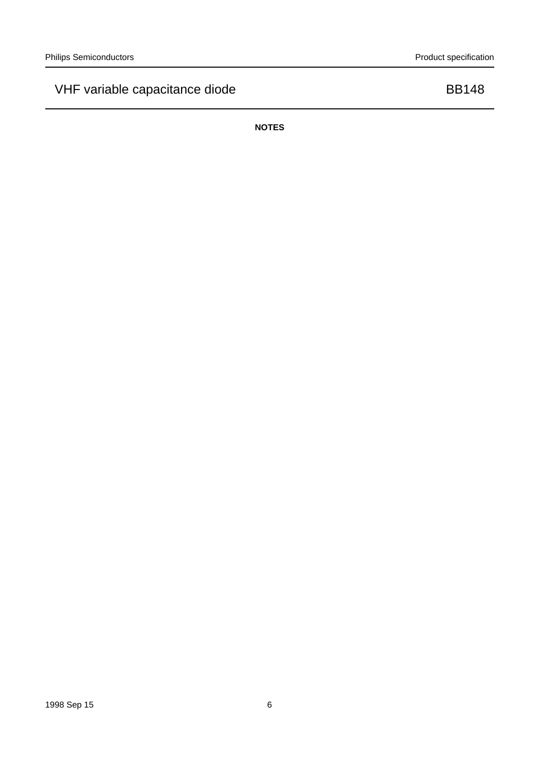**NOTES**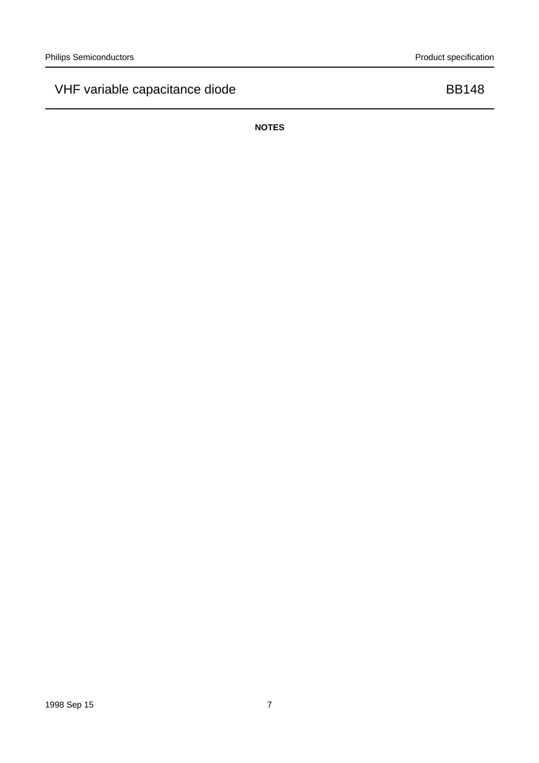**NOTES**